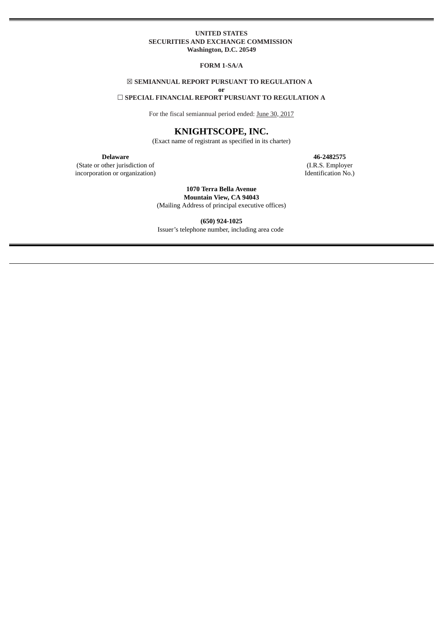# **UNITED STATES SECURITIES AND EXCHANGE COMMISSION Washington, D.C. 20549**

**FORM 1-SA/A**

# ☒ **SEMIANNUAL REPORT PURSUANT TO REGULATION A**

**or**

# ☐ **SPECIAL FINANCIAL REPORT PURSUANT TO REGULATION A**

For the fiscal semiannual period ended: June 30, 2017

# **KNIGHTSCOPE, INC.**

(Exact name of registrant as specified in its charter)

(State or other jurisdiction of incorporation or organization)

**Delaware 46-2482575** (I.R.S. Employer Identification No.)

> **1070 Terra Bella Avenue Mountain View, CA 94043** (Mailing Address of principal executive offices)

**(650) 924-1025** Issuer's telephone number, including area code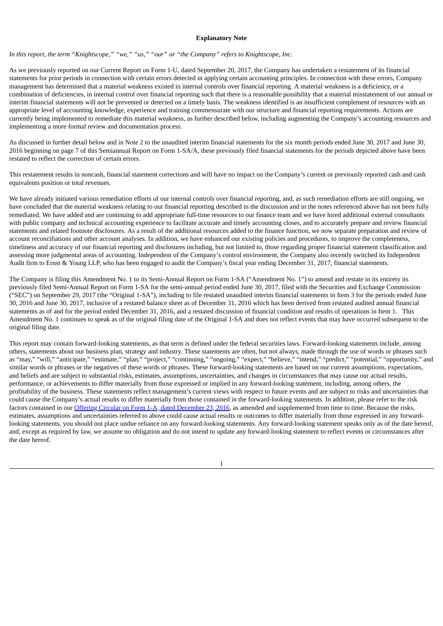#### **Explanatory Note**

*In this report, the term "Knightscope," "we," "us," "our" or "the Company" refers to Knightscope, Inc.*

As we previously reported on our Current Report on Form 1-U, dated September 20, 2017, the Company has undertaken a restatement of its financial statements for prior periods in connection with certain errors detected in applying certain accounting principles. In connection with these errors, Company management has determined that a material weakness existed in internal controls over financial reporting. A material weakness is a deficiency, or a combination of deficiencies, in internal control over financial reporting such that there is a reasonable possibility that a material misstatement of our annual or interim financial statements will not be prevented or detected on a timely basis. The weakness identified is an insufficient complement of resources with an appropriate level of accounting knowledge, experience and training commensurate with our structure and financial reporting requirements. Actions are currently being implemented to remediate this material weakness, as further described below, including augmenting the Company's accounting resources and implementing a more formal review and documentation process.

As discussed in further detail below and in Note 2 to the unaudited interim financial statements for the six month periods ended June 30, 2017 and June 30, 2016 beginning on page 7 of this Semiannual Report on Form 1-SA/A, these previously filed financial statements for the periods depicted above have been restated to reflect the correction of certain errors.

This restatement results in noncash, financial statement corrections and will have no impact on the Company's current or previously reported cash and cash equivalents position or total revenues.

We have already initiated various remediation efforts of our internal controls over financial reporting, and, as such remediation efforts are still ongoing, we have concluded that the material weakness relating to our financial reporting described in the discussion and in the notes referenced above has not been fully remediated. We have added and are continuing to add appropriate full-time resources to our finance team and we have hired additional external consultants with public company and technical accounting experience to facilitate accurate and timely accounting closes, and to accurately prepare and review financial statements and related footnote disclosures. As a result of the additional resources added to the finance function, we now separate preparation and review of account reconciliations and other account analyses. In addition, we have enhanced our existing policies and procedures, to improve the completeness, timeliness and accuracy of our financial reporting and disclosures including, but not limited to, those regarding proper financial statement classification and assessing more judgmental areas of accounting. Independent of the Company's control environment, the Company also recently switched its Independent Audit firm to Ernst & Young LLP, who has been engaged to audit the Company's fiscal year ending December 31, 2017, financial statements.

The Company is filing this Amendment No. 1 to its Semi-Annual Report on Form 1-SA ("Amendment No. 1") to amend and restate in its entirety its previously filed Semi-Annual Report on Form 1-SA for the semi-annual period ended June 30, 2017, filed with the Securities and Exchange Commission ("SEC") on September 29, 2017 (the "Original 1-SA"), including to file restated unaudited interim financial statements in Item 3 for the periods ended June 30, 2016 and June 30, 2017, inclusive of a restated balance sheet as of December 31, 2016 which has been derived from restated audited annual financial statements as of and for the period ended December 31, 2016, and a restated discussion of financial condition and results of operations in Item 1. This Amendment No. 1 continues to speak as of the original filing date of the Original 1-SA and does not reflect events that may have occurred subsequent to the original filing date.

This report may contain forward-looking statements, as that term is defined under the federal securities laws. Forward-looking statements include, among others, statements about our business plan, strategy and industry. These statements are often, but not always, made through the use of words or phrases such as "may," "will," "anticipate," "estimate," "plan," "project," "continuing," "ongoing," "expect," "believe," "intend," "predict," "potential," "opportunity," and similar words or phrases or the negatives of these words or phrases. These forward-looking statements are based on our current assumptions, expectations, and beliefs and are subject to substantial risks, estimates, assumptions, uncertainties, and changes in circumstances that may cause our actual results, performance, or achievements to differ materially from those expressed or implied in any forward-looking statement, including, among others, the profitability of the business. These statements reflect management's current views with respect to future events and are subject to risks and uncertainties that could cause the Company's actual results to differ materially from those contained in the forward-looking statements. In addition, please refer to the risk factors contained in our Offering Circular on Form 1-A, dated [December](http://www.sec.gov/Archives/edgar/data/1600983/000114420416141283/v455625_253g2.htm) 23, 2016, as amended and supplemented from time to time. Because the risks, estimates, assumptions and uncertainties referred to above could cause actual results or outcomes to differ materially from those expressed in any forwardlooking statements, you should not place undue reliance on any forward-looking statements. Any forward-looking statement speaks only as of the date hereof, and, except as required by law, we assume no obligation and do not intend to update any forward-looking statement to reflect events or circumstances after the date hereof.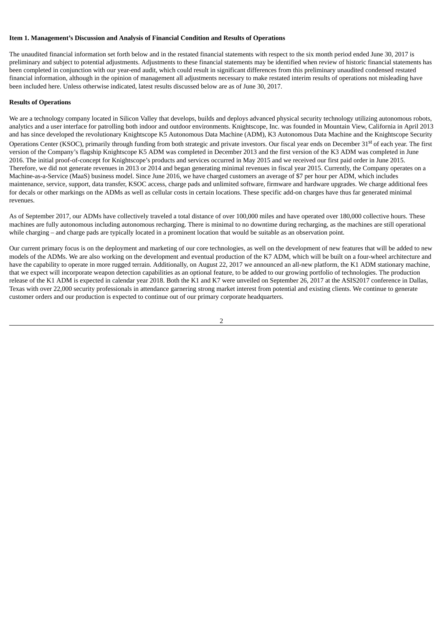#### **Item 1. Management's Discussion and Analysis of Financial Condition and Results of Operations**

The unaudited financial information set forth below and in the restated financial statements with respect to the six month period ended June 30, 2017 is preliminary and subject to potential adjustments. Adjustments to these financial statements may be identified when review of historic financial statements has been completed in conjunction with our year-end audit, which could result in significant differences from this preliminary unaudited condensed restated financial information, although in the opinion of management all adjustments necessary to make restated interim results of operations not misleading have been included here. Unless otherwise indicated, latest results discussed below are as of June 30, 2017.

## **Results of Operations**

We are a technology company located in Silicon Valley that develops, builds and deploys advanced physical security technology utilizing autonomous robots, analytics and a user interface for patrolling both indoor and outdoor environments. Knightscope, Inc. was founded in Mountain View, California in April 2013 and has since developed the revolutionary Knightscope K5 Autonomous Data Machine (ADM), K3 Autonomous Data Machine and the Knightscope Security Operations Center (KSOC), primarily through funding from both strategic and private investors. Our fiscal year ends on December 31<sup>st</sup> of each year. The first version of the Company's flagship Knightscope K5 ADM was completed in December 2013 and the first version of the K3 ADM was completed in June 2016. The initial proof-of-concept for Knightscope's products and services occurred in May 2015 and we received our first paid order in June 2015. Therefore, we did not generate revenues in 2013 or 2014 and began generating minimal revenues in fiscal year 2015. Currently, the Company operates on a Machine-as-a-Service (MaaS) business model. Since June 2016, we have charged customers an average of \$7 per hour per ADM, which includes maintenance, service, support, data transfer, KSOC access, charge pads and unlimited software, firmware and hardware upgrades. We charge additional fees for decals or other markings on the ADMs as well as cellular costs in certain locations. These specific add-on charges have thus far generated minimal revenues.

As of September 2017, our ADMs have collectively traveled a total distance of over 100,000 miles and have operated over 180,000 collective hours. These machines are fully autonomous including autonomous recharging. There is minimal to no downtime during recharging, as the machines are still operational while charging – and charge pads are typically located in a prominent location that would be suitable as an observation point.

Our current primary focus is on the deployment and marketing of our core technologies, as well on the development of new features that will be added to new models of the ADMs. We are also working on the development and eventual production of the K7 ADM, which will be built on a four-wheel architecture and have the capability to operate in more rugged terrain. Additionally, on August 22, 2017 we announced an all-new platform, the K1 ADM stationary machine, that we expect will incorporate weapon detection capabilities as an optional feature, to be added to our growing portfolio of technologies. The production release of the K1 ADM is expected in calendar year 2018. Both the K1 and K7 were unveiled on September 26, 2017 at the ASIS2017 conference in Dallas, Texas with over 22,000 security professionals in attendance garnering strong market interest from potential and existing clients. We continue to generate customer orders and our production is expected to continue out of our primary corporate headquarters.

 $\overline{2}$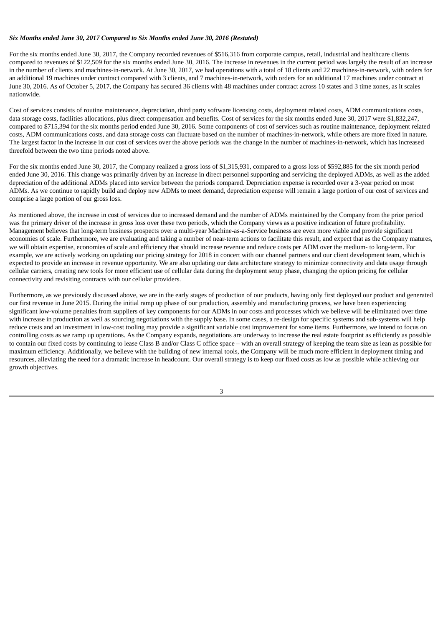#### *Six Months ended June 30, 2017 Compared to Six Months ended June 30, 2016 (Restated)*

For the six months ended June 30, 2017, the Company recorded revenues of \$516,316 from corporate campus, retail, industrial and healthcare clients compared to revenues of \$122,509 for the six months ended June 30, 2016. The increase in revenues in the current period was largely the result of an increase in the number of clients and machines-in-network. At June 30, 2017, we had operations with a total of 18 clients and 22 machines-in-network, with orders for an additional 19 machines under contract compared with 3 clients, and 7 machines-in-network, with orders for an additional 17 machines under contract at June 30, 2016. As of October 5, 2017, the Company has secured 36 clients with 48 machines under contract across 10 states and 3 time zones, as it scales nationwide.

Cost of services consists of routine maintenance, depreciation, third party software licensing costs, deployment related costs, ADM communications costs, data storage costs, facilities allocations, plus direct compensation and benefits. Cost of services for the six months ended June 30, 2017 were \$1,832,247, compared to \$715,394 for the six months period ended June 30, 2016. Some components of cost of services such as routine maintenance, deployment related costs, ADM communications costs, and data storage costs can fluctuate based on the number of machines-in-network, while others are more fixed in nature. The largest factor in the increase in our cost of services over the above periods was the change in the number of machines-in-network, which has increased threefold between the two time periods noted above.

For the six months ended June 30, 2017, the Company realized a gross loss of \$1,315,931, compared to a gross loss of \$592,885 for the six month period ended June 30, 2016. This change was primarily driven by an increase in direct personnel supporting and servicing the deployed ADMs, as well as the added depreciation of the additional ADMs placed into service between the periods compared. Depreciation expense is recorded over a 3-year period on most ADMs. As we continue to rapidly build and deploy new ADMs to meet demand, depreciation expense will remain a large portion of our cost of services and comprise a large portion of our gross loss.

As mentioned above, the increase in cost of services due to increased demand and the number of ADMs maintained by the Company from the prior period was the primary driver of the increase in gross loss over these two periods, which the Company views as a positive indication of future profitability. Management believes that long-term business prospects over a multi-year Machine-as-a-Service business are even more viable and provide significant economies of scale. Furthermore, we are evaluating and taking a number of near-term actions to facilitate this result, and expect that as the Company matures, we will obtain expertise, economies of scale and efficiency that should increase revenue and reduce costs per ADM over the medium- to long-term. For example, we are actively working on updating our pricing strategy for 2018 in concert with our channel partners and our client development team, which is expected to provide an increase in revenue opportunity. We are also updating our data architecture strategy to minimize connectivity and data usage through cellular carriers, creating new tools for more efficient use of cellular data during the deployment setup phase, changing the option pricing for cellular connectivity and revisiting contracts with our cellular providers.

Furthermore, as we previously discussed above, we are in the early stages of production of our products, having only first deployed our product and generated our first revenue in June 2015. During the initial ramp up phase of our production, assembly and manufacturing process, we have been experiencing significant low-volume penalties from suppliers of key components for our ADMs in our costs and processes which we believe will be eliminated over time with increase in production as well as sourcing negotiations with the supply base. In some cases, a re-design for specific systems and sub-systems will help reduce costs and an investment in low-cost tooling may provide a significant variable cost improvement for some items. Furthermore, we intend to focus on controlling costs as we ramp up operations. As the Company expands, negotiations are underway to increase the real estate footprint as efficiently as possible to contain our fixed costs by continuing to lease Class B and/or Class C office space – with an overall strategy of keeping the team size as lean as possible for maximum efficiency. Additionally, we believe with the building of new internal tools, the Company will be much more efficient in deployment timing and resources, alleviating the need for a dramatic increase in headcount. Our overall strategy is to keep our fixed costs as low as possible while achieving our growth objectives.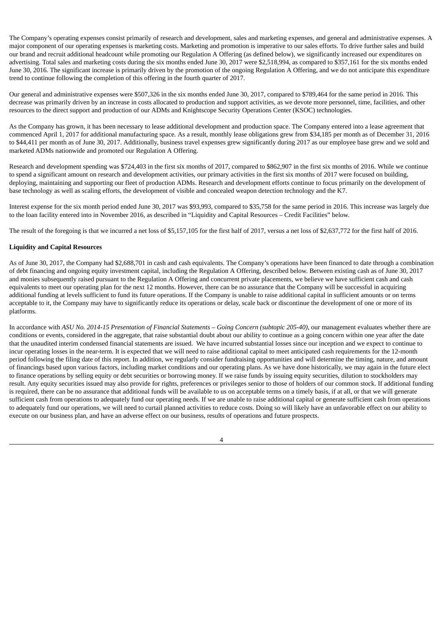The Company's operating expenses consist primarily of research and development, sales and marketing expenses, and general and administrative expenses. A major component of our operating expenses is marketing costs. Marketing and promotion is imperative to our sales efforts. To drive further sales and build our brand and recruit additional headcount while promoting our Regulation A Offering (as defined below), we significantly increased our expenditures on advertising. Total sales and marketing costs during the six months ended June 30, 2017 were \$2,518,994, as compared to \$357,161 for the six months ended June 30, 2016. The significant increase is primarily driven by the promotion of the ongoing Regulation A Offering, and we do not anticipate this expenditure trend to continue following the completion of this offering in the fourth quarter of 2017.

Our general and administrative expenses were \$507,326 in the six months ended June 30, 2017, compared to \$789,464 for the same period in 2016. This decrease was primarily driven by an increase in costs allocated to production and support activities, as we devote more personnel, time, facilities, and other resources to the direct support and production of our ADMs and Knightscope Security Operations Center (KSOC) technologies.

As the Company has grown, it has been necessary to lease additional development and production space. The Company entered into a lease agreement that commenced April 1, 2017 for additional manufacturing space. As a result, monthly lease obligations grew from \$34,185 per month as of December 31, 2016 to \$44,411 per month as of June 30, 2017. Additionally, business travel expenses grew significantly during 2017 as our employee base grew and we sold and marketed ADMs nationwide and promoted our Regulation A Offering.

Research and development spending was \$724,403 in the first six months of 2017, compared to \$862,907 in the first six months of 2016. While we continue to spend a significant amount on research and development activities, our primary activities in the first six months of 2017 were focused on building, deploying, maintaining and supporting our fleet of production ADMs. Research and development efforts continue to focus primarily on the development of base technology as well as scaling efforts, the development of visible and concealed weapon detection technology and the K7.

Interest expense for the six month period ended June 30, 2017 was \$93,993, compared to \$35,758 for the same period in 2016. This increase was largely due to the loan facility entered into in November 2016, as described in "Liquidity and Capital Resources – Credit Facilities" below.

The result of the foregoing is that we incurred a net loss of \$5,157,105 for the first half of 2017, versus a net loss of \$2,637,772 for the first half of 2016.

# **Liquidity and Capital Resources**

As of June 30, 2017, the Company had \$2,688,701 in cash and cash equivalents. The Company's operations have been financed to date through a combination of debt financing and ongoing equity investment capital, including the Regulation A Offering, described below. Between existing cash as of June 30, 2017 and monies subsequently raised pursuant to the Regulation A Offering and concurrent private placements, we believe we have sufficient cash and cash equivalents to meet our operating plan for the next 12 months. However, there can be no assurance that the Company will be successful in acquiring additional funding at levels sufficient to fund its future operations. If the Company is unable to raise additional capital in sufficient amounts or on terms acceptable to it, the Company may have to significantly reduce its operations or delay, scale back or discontinue the development of one or more of its platforms.

In accordance with ASU No. 2014-15 Presentation of Financial Statements - Going Concern (subtopic 205-40), our management evaluates whether there are conditions or events, considered in the aggregate, that raise substantial doubt about our ability to continue as a going concern within one year after the date that the unaudited interim condensed financial statements are issued. We have incurred substantial losses since our inception and we expect to continue to incur operating losses in the near-term. It is expected that we will need to raise additional capital to meet anticipated cash requirements for the 12-month period following the filing date of this report. In addition, we regularly consider fundraising opportunities and will determine the timing, nature, and amount of financings based upon various factors, including market conditions and our operating plans. As we have done historically, we may again in the future elect to finance operations by selling equity or debt securities or borrowing money. If we raise funds by issuing equity securities, dilution to stockholders may result. Any equity securities issued may also provide for rights, preferences or privileges senior to those of holders of our common stock. If additional funding is required, there can be no assurance that additional funds will be available to us on acceptable terms on a timely basis, if at all, or that we will generate sufficient cash from operations to adequately fund our operating needs. If we are unable to raise additional capital or generate sufficient cash from operations to adequately fund our operations, we will need to curtail planned activities to reduce costs. Doing so will likely have an unfavorable effect on our ability to execute on our business plan, and have an adverse effect on our business, results of operations and future prospects.

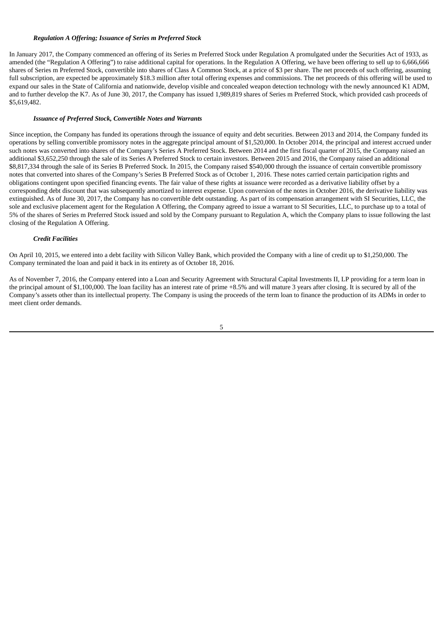## *Regulation A Offering; Issuance of Series m Preferred Stock*

In January 2017, the Company commenced an offering of its Series m Preferred Stock under Regulation A promulgated under the Securities Act of 1933, as amended (the "Regulation A Offering") to raise additional capital for operations. In the Regulation A Offering, we have been offering to sell up to 6,666,666 shares of Series m Preferred Stock, convertible into shares of Class A Common Stock, at a price of \$3 per share. The net proceeds of such offering, assuming full subscription, are expected be approximately \$18.3 million after total offering expenses and commissions. The net proceeds of this offering will be used to expand our sales in the State of California and nationwide, develop visible and concealed weapon detection technology with the newly announced K1 ADM, and to further develop the K7. As of June 30, 2017, the Company has issued 1,989,819 shares of Series m Preferred Stock, which provided cash proceeds of \$5,619,482.

## *Issuance of Preferred Stock, Convertible Notes and Warrants*

Since inception, the Company has funded its operations through the issuance of equity and debt securities. Between 2013 and 2014, the Company funded its operations by selling convertible promissory notes in the aggregate principal amount of \$1,520,000. In October 2014, the principal and interest accrued under such notes was converted into shares of the Company's Series A Preferred Stock. Between 2014 and the first fiscal quarter of 2015, the Company raised an additional \$3,652,250 through the sale of its Series A Preferred Stock to certain investors. Between 2015 and 2016, the Company raised an additional \$8,817,334 through the sale of its Series B Preferred Stock. In 2015, the Company raised \$540,000 through the issuance of certain convertible promissory notes that converted into shares of the Company's Series B Preferred Stock as of October 1, 2016. These notes carried certain participation rights and obligations contingent upon specified financing events. The fair value of these rights at issuance were recorded as a derivative liability offset by a corresponding debt discount that was subsequently amortized to interest expense. Upon conversion of the notes in October 2016, the derivative liability was extinguished. As of June 30, 2017, the Company has no convertible debt outstanding. As part of its compensation arrangement with SI Securities, LLC, the sole and exclusive placement agent for the Regulation A Offering, the Company agreed to issue a warrant to SI Securities, LLC, to purchase up to a total of 5% of the shares of Series m Preferred Stock issued and sold by the Company pursuant to Regulation A, which the Company plans to issue following the last closing of the Regulation A Offering.

# *Credit Facilities*

On April 10, 2015, we entered into a debt facility with Silicon Valley Bank, which provided the Company with a line of credit up to \$1,250,000. The Company terminated the loan and paid it back in its entirety as of October 18, 2016.

As of November 7, 2016, the Company entered into a Loan and Security Agreement with Structural Capital Investments II, LP providing for a term loan in the principal amount of \$1,100,000. The loan facility has an interest rate of prime +8.5% and will mature 3 years after closing. It is secured by all of the Company's assets other than its intellectual property. The Company is using the proceeds of the term loan to finance the production of its ADMs in order to meet client order demands.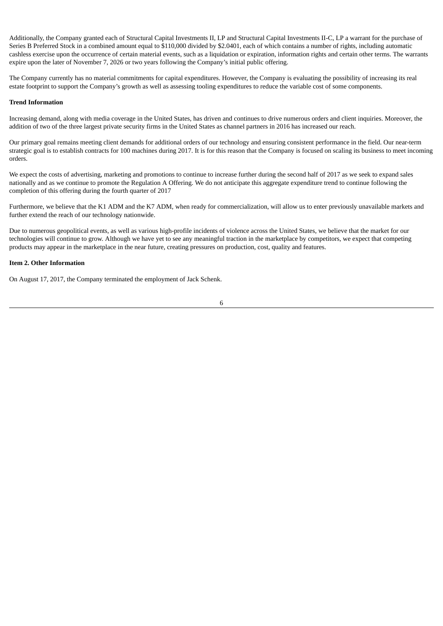Additionally, the Company granted each of Structural Capital Investments II, LP and Structural Capital Investments II-C, LP a warrant for the purchase of Series B Preferred Stock in a combined amount equal to \$110,000 divided by \$2.0401, each of which contains a number of rights, including automatic cashless exercise upon the occurrence of certain material events, such as a liquidation or expiration, information rights and certain other terms. The warrants expire upon the later of November 7, 2026 or two years following the Company's initial public offering.

The Company currently has no material commitments for capital expenditures. However, the Company is evaluating the possibility of increasing its real estate footprint to support the Company's growth as well as assessing tooling expenditures to reduce the variable cost of some components.

### **Trend Information**

Increasing demand, along with media coverage in the United States, has driven and continues to drive numerous orders and client inquiries. Moreover, the addition of two of the three largest private security firms in the United States as channel partners in 2016 has increased our reach.

Our primary goal remains meeting client demands for additional orders of our technology and ensuring consistent performance in the field. Our near-term strategic goal is to establish contracts for 100 machines during 2017. It is for this reason that the Company is focused on scaling its business to meet incoming orders.

We expect the costs of advertising, marketing and promotions to continue to increase further during the second half of 2017 as we seek to expand sales nationally and as we continue to promote the Regulation A Offering. We do not anticipate this aggregate expenditure trend to continue following the completion of this offering during the fourth quarter of 2017

Furthermore, we believe that the K1 ADM and the K7 ADM, when ready for commercialization, will allow us to enter previously unavailable markets and further extend the reach of our technology nationwide.

Due to numerous geopolitical events, as well as various high-profile incidents of violence across the United States, we believe that the market for our technologies will continue to grow. Although we have yet to see any meaningful traction in the marketplace by competitors, we expect that competing products may appear in the marketplace in the near future, creating pressures on production, cost, quality and features.

# **Item 2. Other Information**

On August 17, 2017, the Company terminated the employment of Jack Schenk.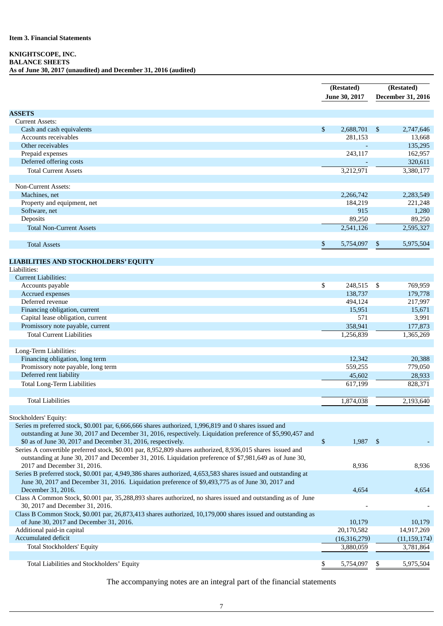# **Item 3. Financial Statements**

# **KNIGHTSCOPE, INC. BALANCE SHEETS**

**As of June 30, 2017 (unaudited) and December 31, 2016 (audited)**

|                                                                                                                | (Restated)      |      | (Restated)        |  |  |
|----------------------------------------------------------------------------------------------------------------|-----------------|------|-------------------|--|--|
|                                                                                                                | June 30, 2017   |      | December 31, 2016 |  |  |
|                                                                                                                |                 |      |                   |  |  |
| <b>ASSETS</b>                                                                                                  |                 |      |                   |  |  |
| <b>Current Assets:</b>                                                                                         |                 |      |                   |  |  |
| Cash and cash equivalents                                                                                      | \$<br>2,688,701 | - \$ | 2,747,646         |  |  |
| Accounts receivables                                                                                           | 281,153         |      | 13,668            |  |  |
| Other receivables                                                                                              |                 |      | 135,295           |  |  |
| Prepaid expenses                                                                                               | 243,117         |      | 162,957           |  |  |
| Deferred offering costs                                                                                        |                 |      |                   |  |  |
|                                                                                                                |                 |      | 320,611           |  |  |
| <b>Total Current Assets</b>                                                                                    | 3,212,971       |      | 3,380,177         |  |  |
|                                                                                                                |                 |      |                   |  |  |
| <b>Non-Current Assets:</b>                                                                                     |                 |      |                   |  |  |
| Machines, net                                                                                                  | 2,266,742       |      | 2,283,549         |  |  |
| Property and equipment, net                                                                                    | 184,219         |      | 221,248           |  |  |
| Software, net                                                                                                  | 915             |      | 1,280             |  |  |
| Deposits                                                                                                       | 89,250          |      | 89,250            |  |  |
| <b>Total Non-Current Assets</b>                                                                                | 2,541,126       |      | 2,595,327         |  |  |
|                                                                                                                |                 |      |                   |  |  |
| <b>Total Assets</b>                                                                                            | \$<br>5,754,097 | \$   | 5,975,504         |  |  |
|                                                                                                                |                 |      |                   |  |  |
| <b>LIABILITIES AND STOCKHOLDERS' EQUITY</b>                                                                    |                 |      |                   |  |  |
| Liabilities:                                                                                                   |                 |      |                   |  |  |
| <b>Current Liabilities:</b>                                                                                    |                 |      |                   |  |  |
| Accounts payable                                                                                               | \$<br>248,515   | - \$ | 769,959           |  |  |
| Accrued expenses                                                                                               | 138,737         |      | 179,778           |  |  |
| Deferred revenue                                                                                               | 494,124         |      | 217,997           |  |  |
| Financing obligation, current                                                                                  | 15,951          |      | 15,671            |  |  |
| Capital lease obligation, current                                                                              | 571             |      | 3,991             |  |  |
| Promissory note payable, current                                                                               | 358,941         |      | 177,873           |  |  |
| <b>Total Current Liabilities</b>                                                                               | 1,256,839       |      | 1,365,269         |  |  |
|                                                                                                                |                 |      |                   |  |  |
| Long-Term Liabilities:                                                                                         |                 |      |                   |  |  |
| Financing obligation, long term                                                                                | 12,342          |      | 20,388            |  |  |
| Promissory note payable, long term                                                                             | 559,255         |      | 779,050           |  |  |
|                                                                                                                |                 |      |                   |  |  |
| Deferred rent liability                                                                                        | 45,602          |      | 28,933            |  |  |
| <b>Total Long-Term Liabilities</b>                                                                             | 617,199         |      | 828,371           |  |  |
|                                                                                                                |                 |      |                   |  |  |
| <b>Total Liabilities</b>                                                                                       | 1,874,038       |      | 2,193,640         |  |  |
|                                                                                                                |                 |      |                   |  |  |
| Stockholders' Equity:                                                                                          |                 |      |                   |  |  |
| Series m preferred stock, \$0.001 par, 6,666,666 shares authorized, 1,996,819 and 0 shares issued and          |                 |      |                   |  |  |
| outstanding at June 30, 2017 and December 31, 2016, respectively. Liquidation preference of \$5,990,457 and    |                 |      |                   |  |  |
| \$0 as of June 30, 2017 and December 31, 2016, respectively.                                                   | \$<br>1,987 \$  |      |                   |  |  |
| Series A convertible preferred stock, \$0.001 par, 8,952,809 shares authorized, 8,936,015 shares issued and    |                 |      |                   |  |  |
| outstanding at June 30, 2017 and December 31, 2016. Liquidation preference of \$7,981,649 as of June 30,       |                 |      |                   |  |  |
| 2017 and December 31, 2016.                                                                                    | 8,936           |      | 8,936             |  |  |
| Series B preferred stock, \$0.001 par, 4,949,386 shares authorized, 4,653,583 shares issued and outstanding at |                 |      |                   |  |  |
| June 30, 2017 and December 31, 2016. Liquidation preference of \$9,493,775 as of June 30, 2017 and             |                 |      |                   |  |  |
| December 31, 2016.                                                                                             | 4,654           |      | 4,654             |  |  |
| Class A Common Stock, \$0.001 par, 35,288,893 shares authorized, no shares issued and outstanding as of June   |                 |      |                   |  |  |
| 30, 2017 and December 31, 2016.                                                                                |                 |      |                   |  |  |
| Class B Common Stock, \$0.001 par, 26,873,413 shares authorized, 10,179,000 shares issued and outstanding as   |                 |      |                   |  |  |
| of June 30, 2017 and December 31, 2016.                                                                        | 10,179          |      | 10,179            |  |  |
| Additional paid-in capital                                                                                     | 20,170,582      |      | 14,917,269        |  |  |
| Accumulated deficit                                                                                            |                 |      |                   |  |  |
| <b>Total Stockholders' Equity</b>                                                                              | (16,316,279)    |      | (11, 159, 174)    |  |  |
|                                                                                                                | 3,880,059       |      | 3,781,864         |  |  |
|                                                                                                                |                 |      |                   |  |  |
| Total Liabilities and Stockholders' Equity                                                                     | \$<br>5,754,097 | \$   | 5,975,504         |  |  |

The accompanying notes are an integral part of the financial statements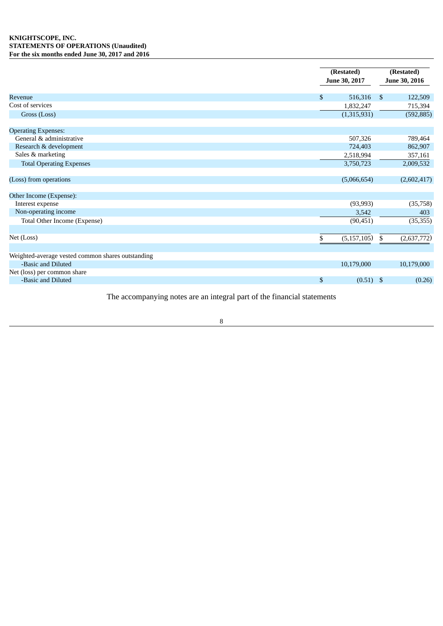|                                                   | (Restated)<br>June 30, 2017 | (Restated)<br>June 30, 2016 |
|---------------------------------------------------|-----------------------------|-----------------------------|
| Revenue                                           | \$<br>516,316               | -\$<br>122,509              |
| Cost of services                                  | 1,832,247                   | 715,394                     |
| Gross (Loss)                                      | (1,315,931)                 | (592, 885)                  |
| <b>Operating Expenses:</b>                        |                             |                             |
| General & administrative                          | 507,326                     | 789,464                     |
| Research & development                            | 724,403                     | 862,907                     |
| Sales & marketing                                 | 2,518,994                   | 357,161                     |
| <b>Total Operating Expenses</b>                   | 3,750,723                   | 2,009,532                   |
| (Loss) from operations                            | (5,066,654)                 | (2,602,417)                 |
| Other Income (Expense):                           |                             |                             |
| Interest expense                                  | (93, 993)                   | (35, 758)                   |
| Non-operating income                              | 3,542                       | 403                         |
| Total Other Income (Expense)                      | (90, 451)                   | (35, 355)                   |
| Net (Loss)                                        | (5, 157, 105)<br>\$         | \$<br>(2,637,772)           |
| Weighted-average vested common shares outstanding |                             |                             |
| -Basic and Diluted                                | 10,179,000                  | 10,179,000                  |
| Net (loss) per common share                       |                             |                             |
| -Basic and Diluted                                | \$<br>$(0.51)$ \$           | (0.26)                      |

The accompanying notes are an integral part of the financial statements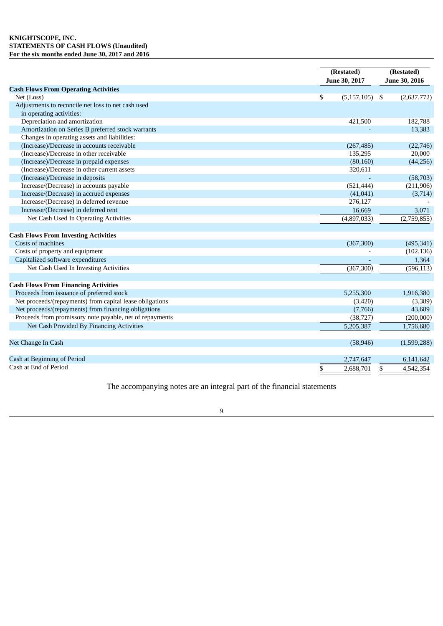# **KNIGHTSCOPE, INC. STATEMENTS OF CASH FLOWS (Unaudited) For the six months ended June 30, 2017 and 2016**

|                                                          | (Restated)<br>June 30, 2017 | (Restated)<br>June 30, 2016 |  |
|----------------------------------------------------------|-----------------------------|-----------------------------|--|
| <b>Cash Flows From Operating Activities</b>              |                             |                             |  |
| Net (Loss)                                               | \$<br>$(5,157,105)$ \$      | (2,637,772)                 |  |
| Adjustments to reconcile net loss to net cash used       |                             |                             |  |
| in operating activities:                                 |                             |                             |  |
| Depreciation and amortization                            | 421,500                     | 182,788                     |  |
| Amortization on Series B preferred stock warrants        |                             | 13,383                      |  |
| Changes in operating assets and liabilities:             |                             |                             |  |
| (Increase)/Decrease in accounts receivable               | (267, 485)                  | (22, 746)                   |  |
| (Increase)/Decrease in other receivable                  | 135,295                     | 20,000                      |  |
| (Increase)/Decrease in prepaid expenses                  | (80, 160)                   | (44, 256)                   |  |
| (Increase)/Decrease in other current assets              | 320,611                     |                             |  |
| (Increase)/Decrease in deposits                          |                             | (58,703)                    |  |
| Increase/(Decrease) in accounts payable                  | (521, 444)                  | (211,906)                   |  |
| Increase/(Decrease) in accrued expenses                  | (41, 041)                   | (3,714)                     |  |
| Increase/(Decrease) in deferred revenue                  | 276,127                     |                             |  |
| Increase/(Decrease) in deferred rent                     | 16,669                      | 3,071                       |  |
| Net Cash Used In Operating Activities                    | (4,897,033)                 | (2,759,855)                 |  |
| <b>Cash Flows From Investing Activities</b>              |                             |                             |  |
| Costs of machines                                        | (367, 300)                  | (495, 341)                  |  |
| Costs of property and equipment                          |                             | (102, 136)                  |  |
| Capitalized software expenditures                        |                             | 1,364                       |  |
| Net Cash Used In Investing Activities                    | (367, 300)                  | (596, 113)                  |  |
| <b>Cash Flows From Financing Activities</b>              |                             |                             |  |
| Proceeds from issuance of preferred stock                | 5,255,300                   | 1,916,380                   |  |
| Net proceeds/(repayments) from capital lease obligations | (3,420)                     | (3,389)                     |  |
| Net proceeds/(repayments) from financing obligations     | (7,766)                     | 43,689                      |  |
| Proceeds from promissory note payable, net of repayments | (38, 727)                   | (200,000)                   |  |
| Net Cash Provided By Financing Activities                | 5,205,387                   | 1,756,680                   |  |
| Net Change In Cash                                       | (58, 946)                   | (1,599,288)                 |  |
| Cash at Beginning of Period                              | 2,747,647                   | 6,141,642                   |  |
| Cash at End of Period                                    | \$<br>2,688,701             | \$<br>4,542,354             |  |

The accompanying notes are an integral part of the financial statements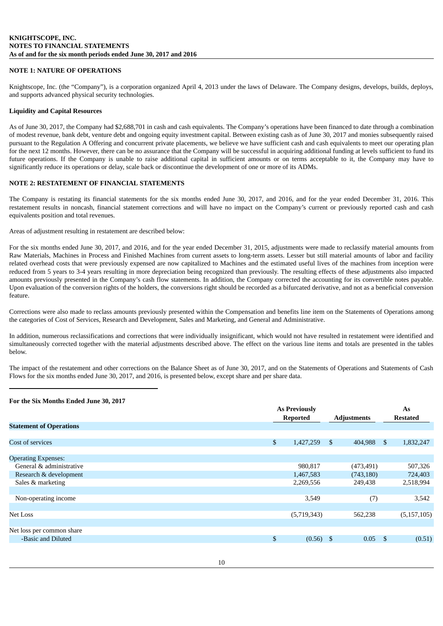# **NOTE 1: NATURE OF OPERATIONS**

Knightscope, Inc. (the "Company"), is a corporation organized April 4, 2013 under the laws of Delaware. The Company designs, develops, builds, deploys, and supports advanced physical security technologies.

### **Liquidity and Capital Resources**

As of June 30, 2017, the Company had \$2,688,701 in cash and cash equivalents. The Company's operations have been financed to date through a combination of modest revenue, bank debt, venture debt and ongoing equity investment capital. Between existing cash as of June 30, 2017 and monies subsequently raised pursuant to the Regulation A Offering and concurrent private placements, we believe we have sufficient cash and cash equivalents to meet our operating plan for the next 12 months. However, there can be no assurance that the Company will be successful in acquiring additional funding at levels sufficient to fund its future operations. If the Company is unable to raise additional capital in sufficient amounts or on terms acceptable to it, the Company may have to significantly reduce its operations or delay, scale back or discontinue the development of one or more of its ADMs.

# **NOTE 2: RESTATEMENT OF FINANCIAL STATEMENTS**

The Company is restating its financial statements for the six months ended June 30, 2017, and 2016, and for the year ended December 31, 2016. This restatement results in noncash, financial statement corrections and will have no impact on the Company's current or previously reported cash and cash equivalents position and total revenues.

Areas of adjustment resulting in restatement are described below:

For the six months ended June 30, 2017, and 2016, and for the year ended December 31, 2015, adjustments were made to reclassify material amounts from Raw Materials, Machines in Process and Finished Machines from current assets to long-term assets. Lesser but still material amounts of labor and facility related overhead costs that were previously expensed are now capitalized to Machines and the estimated useful lives of the machines from inception were reduced from 5 years to 3-4 years resulting in more depreciation being recognized than previously. The resulting effects of these adjustments also impacted amounts previously presented in the Company's cash flow statements. In addition, the Company corrected the accounting for its convertible notes payable. Upon evaluation of the conversion rights of the holders, the conversions right should be recorded as a bifurcated derivative, and not as a beneficial conversion feature.

Corrections were also made to reclass amounts previously presented within the Compensation and benefits line item on the Statements of Operations among the categories of Cost of Services, Research and Development, Sales and Marketing, and General and Administrative.

In addition, numerous reclassifications and corrections that were individually insignificant, which would not have resulted in restatement were identified and simultaneously corrected together with the material adjustments described above. The effect on the various line items and totals are presented in the tables below.

The impact of the restatement and other corrections on the Balance Sheet as of June 30, 2017, and on the Statements of Operations and Statements of Cash Flows for the six months ended June 30, 2017, and 2016, is presented below, except share and per share data.

#### **For the Six Months Ended June 30, 2017**

|                                | <b>As Previously</b> |    |                    | As           |                 |  |
|--------------------------------|----------------------|----|--------------------|--------------|-----------------|--|
|                                | <b>Reported</b>      |    | <b>Adjustments</b> |              | <b>Restated</b> |  |
| <b>Statement of Operations</b> |                      |    |                    |              |                 |  |
|                                |                      |    |                    |              |                 |  |
| Cost of services               | \$<br>1,427,259      | -S | 404,988            | $\mathbb{S}$ | 1,832,247       |  |
|                                |                      |    |                    |              |                 |  |
| <b>Operating Expenses:</b>     |                      |    |                    |              |                 |  |
| General & administrative       | 980,817              |    | (473, 491)         |              | 507,326         |  |
| Research & development         | 1,467,583            |    | (743, 180)         |              | 724,403         |  |
| Sales & marketing              | 2,269,556            |    | 249,438            |              | 2,518,994       |  |
|                                |                      |    |                    |              |                 |  |
| Non-operating income           | 3,549                |    | (7)                |              | 3,542           |  |
|                                |                      |    |                    |              |                 |  |
| Net Loss                       | (5,719,343)          |    | 562,238            |              | (5, 157, 105)   |  |
|                                |                      |    |                    |              |                 |  |
| Net loss per common share      |                      |    |                    |              |                 |  |
| -Basic and Diluted             | \$<br>$(0.56)$ \$    |    | 0.05               | -\$          | (0.51)          |  |
|                                |                      |    |                    |              |                 |  |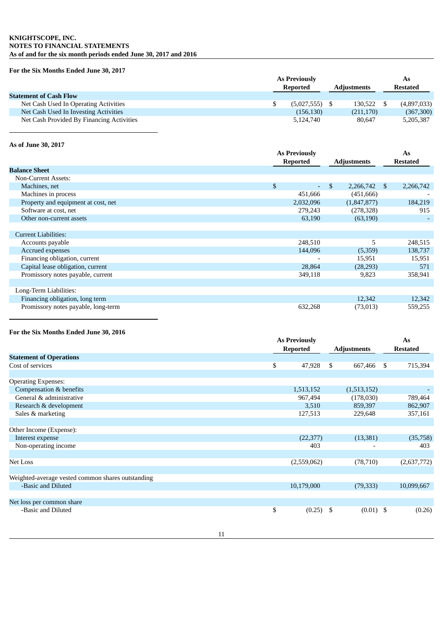# **KNIGHTSCOPE, INC. NOTES TO FINANCIAL STATEMENTS As of and for the six month periods ended June 30, 2017 and 2016**

# **For the Six Months Ended June 30, 2017**

|                                           |  | <b>As Previously</b> |                    | As              |
|-------------------------------------------|--|----------------------|--------------------|-----------------|
|                                           |  | Reported             | <b>Adjustments</b> | <b>Restated</b> |
| <b>Statement of Cash Flow</b>             |  |                      |                    |                 |
| Net Cash Used In Operating Activities     |  | $(5,027,555)$ \$     | 130.522            | (4,897,033)     |
| Net Cash Used In Investing Activities     |  | (156, 130)           | (211, 170)         | (367,300)       |
| Net Cash Provided By Financing Activities |  | 5.124.740            | 80.647             | 5,205,387       |

# **As of June 30, 2017**

|                                     | <b>As Previously</b> |                    |                            |
|-------------------------------------|----------------------|--------------------|----------------------------|
|                                     | <b>Reported</b>      | <b>Adjustments</b> | <b>Restated</b>            |
| <b>Balance Sheet</b>                |                      |                    |                            |
| <b>Non-Current Assets:</b>          |                      |                    |                            |
| Machines, net                       | \$<br>$\sim$         | \$<br>2,266,742    | 2,266,742<br><sup>\$</sup> |
| Machines in process                 | 451,666              | (451, 666)         |                            |
| Property and equipment at cost, net | 2,032,096            | (1,847,877)        | 184,219                    |
| Software at cost, net               | 279,243              | (278, 328)         | 915                        |
| Other non-current assets            | 63,190               | (63, 190)          |                            |
|                                     |                      |                    |                            |
| <b>Current Liabilities:</b>         |                      |                    |                            |
| Accounts payable                    | 248,510              | 5                  | 248,515                    |
| Accrued expenses                    | 144,096              | (5,359)            | 138,737                    |
| Financing obligation, current       |                      | 15,951             | 15,951                     |
| Capital lease obligation, current   | 28,864               | (28, 293)          | 571                        |
| Promissory notes payable, current   | 349,118              | 9,823              | 358,941                    |
|                                     |                      |                    |                            |
| Long-Term Liabilities:              |                      |                    |                            |
| Financing obligation, long term     |                      | 12,342             | 12,342                     |
| Promissory notes payable, long-term | 632,268              | (73, 013)          | 559,255                    |

# **For the Six Months Ended June 30, 2016**

|              |                                                       |             |                    | As              |
|--------------|-------------------------------------------------------|-------------|--------------------|-----------------|
|              |                                                       |             |                    | <b>Restated</b> |
|              |                                                       |             |                    |                 |
| \$<br>47,928 | \$                                                    | 667,466     | \$                 | 715,394         |
|              |                                                       |             |                    |                 |
|              |                                                       |             |                    |                 |
| 1,513,152    |                                                       | (1,513,152) |                    |                 |
| 967,494      |                                                       | (178,030)   |                    | 789,464         |
| 3,510        |                                                       | 859,397     |                    | 862,907         |
| 127,513      |                                                       | 229,648     |                    | 357,161         |
|              |                                                       |             |                    |                 |
|              |                                                       |             |                    |                 |
| (22, 377)    |                                                       | (13, 381)   |                    | (35,758)        |
| 403          |                                                       |             |                    | 403             |
|              |                                                       |             |                    |                 |
| (2,559,062)  |                                                       | (78, 710)   |                    | (2,637,772)     |
|              |                                                       |             |                    |                 |
|              |                                                       |             |                    |                 |
|              |                                                       | (79, 333)   |                    | 10,099,667      |
|              |                                                       |             |                    |                 |
|              |                                                       |             |                    |                 |
| \$           |                                                       |             |                    | (0.26)          |
|              |                                                       |             |                    |                 |
|              | <b>As Previously</b><br><b>Reported</b><br>10,179,000 | $(0.25)$ \$ | <b>Adjustments</b> | $(0.01)$ \$     |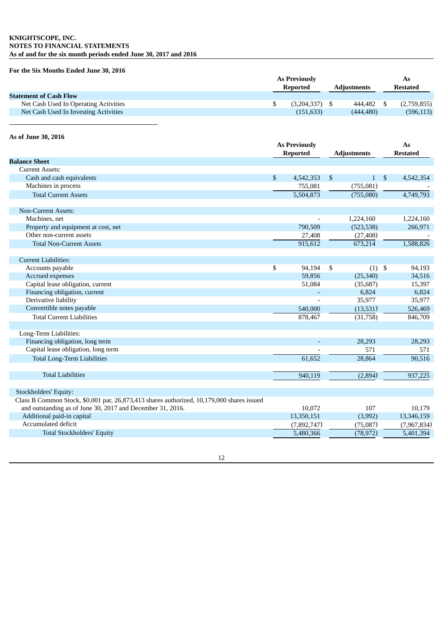# **KNIGHTSCOPE, INC. NOTES TO FINANCIAL STATEMENTS As of and for the six month periods ended June 30, 2017 and 2016**

# **For the Six Months Ended June 30, 2016**

|                                       | <b>As Previously</b> |                    | As              |
|---------------------------------------|----------------------|--------------------|-----------------|
|                                       | Reported             | <b>Adjustments</b> | <b>Restated</b> |
| <b>Statement of Cash Flow</b>         |                      |                    |                 |
| Net Cash Used In Operating Activities | $(3,204,337)$ \$     | 444.482            | (2,759,855)     |
| Net Cash Used In Investing Activities | (151, 633)           | (444.480)          | (596, 113)      |
|                                       |                      |                    |                 |

# **As of June 30, 2016**

|                                                                                           | <b>As Previously</b><br><b>Reported</b> |             | <b>Adjustments</b> |              |                | As<br><b>Restated</b> |
|-------------------------------------------------------------------------------------------|-----------------------------------------|-------------|--------------------|--------------|----------------|-----------------------|
| <b>Balance Sheet</b>                                                                      |                                         |             |                    |              |                |                       |
| <b>Current Assets:</b>                                                                    |                                         |             |                    |              |                |                       |
| Cash and cash equivalents                                                                 | $\mathbb{S}$                            | 4,542,353   | <sup>\$</sup>      | $\mathbf{1}$ | $\mathfrak{S}$ | 4,542,354             |
| Machines in process                                                                       |                                         | 755,081     |                    | (755,081)    |                |                       |
| <b>Total Current Assets</b>                                                               |                                         | 5,504,873   |                    | (755,080)    |                | 4,749,793             |
| <b>Non-Current Assets:</b>                                                                |                                         |             |                    |              |                |                       |
| Machines, net                                                                             |                                         |             |                    | 1,224,160    |                | 1,224,160             |
| Property and equipment at cost, net                                                       |                                         | 790,509     |                    | (523, 538)   |                | 266,971               |
| Other non-current assets                                                                  |                                         | 27,408      |                    | (27, 408)    |                |                       |
| <b>Total Non-Current Assets</b>                                                           |                                         | 915,612     |                    | 673,214      |                | 1,588,826             |
| <b>Current Liabilities:</b>                                                               |                                         |             |                    |              |                |                       |
| Accounts payable                                                                          | \$                                      | 94,194      | S.                 | $(1)$ \$     |                | 94,193                |
| Accrued expenses                                                                          |                                         | 59,856      |                    | (25, 340)    |                | 34,516                |
| Capital lease obligation, current                                                         |                                         | 51,084      |                    | (35,687)     |                | 15,397                |
| Financing obligation, current                                                             |                                         |             |                    | 6,824        |                | 6,824                 |
| Derivative liability                                                                      |                                         |             |                    | 35,977       |                | 35,977                |
| Convertible notes payable                                                                 |                                         | 540,000     |                    | (13,531)     |                | 526,469               |
| <b>Total Current Liabilities</b>                                                          |                                         | 878,467     |                    | (31,758)     |                | 846,709               |
| Long-Term Liabilities:                                                                    |                                         |             |                    |              |                |                       |
| Financing obligation, long term                                                           |                                         |             |                    | 28,293       |                | 28,293                |
| Capital lease obligation, long term                                                       |                                         |             |                    | 571          |                | 571                   |
| <b>Total Long-Term Liabilities</b>                                                        |                                         | 61,652      |                    | 28,864       |                | 90,516                |
| <b>Total Liabilities</b>                                                                  |                                         | 940,119     |                    | (2,894)      |                | 937,225               |
|                                                                                           |                                         |             |                    |              |                |                       |
| Stockholders' Equity:                                                                     |                                         |             |                    |              |                |                       |
| Class B Common Stock, \$0.001 par, 26,873,413 shares authorized, 10,179,000 shares issued |                                         |             |                    |              |                |                       |
| and outstanding as of June 30, 2017 and December 31, 2016.                                |                                         | 10,072      |                    | 107          |                | 10,179                |
| Additional paid-in capital                                                                |                                         | 13,350,151  |                    | (3,992)      |                | 13,346,159            |
| Accumulated deficit                                                                       |                                         | (7,892,747) |                    | (75,087)     |                | (7,967,834)           |
| <b>Total Stockholders' Equity</b>                                                         |                                         | 5,480,366   |                    | (78, 972)    |                | 5,401,394             |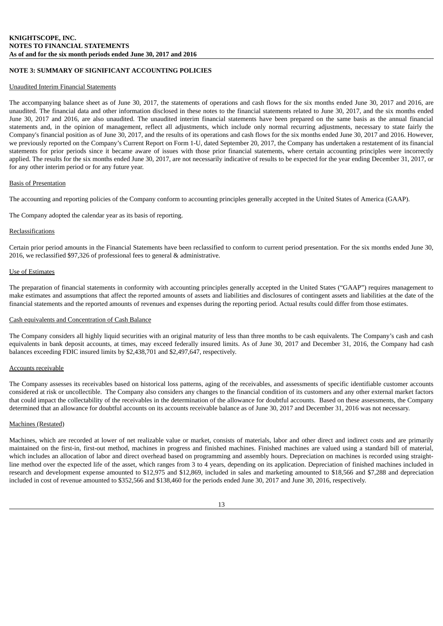# **NOTE 3: SUMMARY OF SIGNIFICANT ACCOUNTING POLICIES**

#### Unaudited Interim Financial Statements

The accompanying balance sheet as of June 30, 2017, the statements of operations and cash flows for the six months ended June 30, 2017 and 2016, are unaudited. The financial data and other information disclosed in these notes to the financial statements related to June 30, 2017, and the six months ended June 30, 2017 and 2016, are also unaudited. The unaudited interim financial statements have been prepared on the same basis as the annual financial statements and, in the opinion of management, reflect all adjustments, which include only normal recurring adjustments, necessary to state fairly the Company's financial position as of June 30, 2017, and the results of its operations and cash flows for the six months ended June 30, 2017 and 2016. However, we previously reported on the Company's Current Report on Form 1-U, dated September 20, 2017, the Company has undertaken a restatement of its financial statements for prior periods since it became aware of issues with those prior financial statements, where certain accounting principles were incorrectly applied. The results for the six months ended June 30, 2017, are not necessarily indicative of results to be expected for the year ending December 31, 2017, or for any other interim period or for any future year.

### Basis of Presentation

The accounting and reporting policies of the Company conform to accounting principles generally accepted in the United States of America (GAAP).

The Company adopted the calendar year as its basis of reporting.

### **Reclassifications**

Certain prior period amounts in the Financial Statements have been reclassified to conform to current period presentation. For the six months ended June 30, 2016, we reclassified \$97,326 of professional fees to general & administrative.

## Use of Estimates

The preparation of financial statements in conformity with accounting principles generally accepted in the United States ("GAAP") requires management to make estimates and assumptions that affect the reported amounts of assets and liabilities and disclosures of contingent assets and liabilities at the date of the financial statements and the reported amounts of revenues and expenses during the reporting period. Actual results could differ from those estimates.

### Cash equivalents and Concentration of Cash Balance

The Company considers all highly liquid securities with an original maturity of less than three months to be cash equivalents. The Company's cash and cash equivalents in bank deposit accounts, at times, may exceed federally insured limits. As of June 30, 2017 and December 31, 2016, the Company had cash balances exceeding FDIC insured limits by \$2,438,701 and \$2,497,647, respectively.

#### Accounts receivable

The Company assesses its receivables based on historical loss patterns, aging of the receivables, and assessments of specific identifiable customer accounts considered at risk or uncollectible. The Company also considers any changes to the financial condition of its customers and any other external market factors that could impact the collectability of the receivables in the determination of the allowance for doubtful accounts. Based on these assessments, the Company determined that an allowance for doubtful accounts on its accounts receivable balance as of June 30, 2017 and December 31, 2016 was not necessary.

# Machines (Restated)

Machines, which are recorded at lower of net realizable value or market, consists of materials, labor and other direct and indirect costs and are primarily maintained on the first-in, first-out method, machines in progress and finished machines. Finished machines are valued using a standard bill of material, which includes an allocation of labor and direct overhead based on programming and assembly hours. Depreciation on machines is recorded using straightline method over the expected life of the asset, which ranges from 3 to 4 years, depending on its application. Depreciation of finished machines included in research and development expense amounted to \$12,975 and \$12,869, included in sales and marketing amounted to \$18,566 and \$7,288 and depreciation included in cost of revenue amounted to \$352,566 and \$138,460 for the periods ended June 30, 2017 and June 30, 2016, respectively.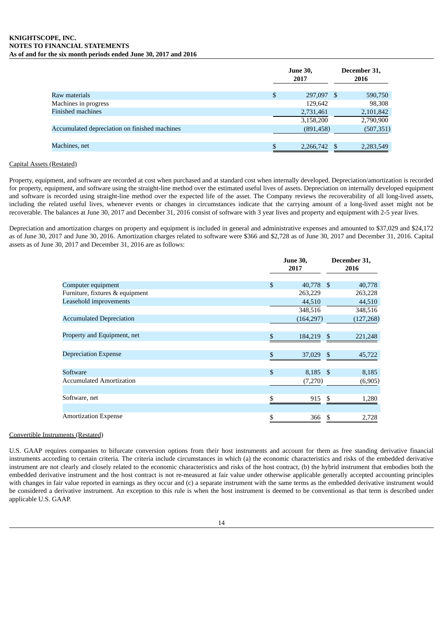#### **KNIGHTSCOPE, INC. NOTES TO FINANCIAL STATEMENTS As of and for the six month periods ended June 30, 2017 and 2016**

|                                               | <b>June 30,</b><br>2017 |      | December 31,<br>2016 |
|-----------------------------------------------|-------------------------|------|----------------------|
| Raw materials                                 | \$<br>297,097           | - \$ | 590,750              |
| Machines in progress                          | 129,642                 |      | 98,308               |
| <b>Finished machines</b>                      | 2,731,461               |      | 2,101,842            |
|                                               | 3,158,200               |      | 2,790,900            |
| Accumulated depreciation on finished machines | (891, 458)              |      | (507, 351)           |
|                                               |                         |      |                      |
| Machines, net                                 | 2,266,742               |      | 2,283,549            |

# Capital Assets (Restated)

Property, equipment, and software are recorded at cost when purchased and at standard cost when internally developed. Depreciation/amortization is recorded for property, equipment, and software using the straight-line method over the estimated useful lives of assets. Depreciation on internally developed equipment and software is recorded using straight-line method over the expected life of the asset. The Company reviews the recoverability of all long-lived assets, including the related useful lives, whenever events or changes in circumstances indicate that the carrying amount of a long-lived asset might not be recoverable. The balances at June 30, 2017 and December 31, 2016 consist of software with 3 year lives and property and equipment with 2-5 year lives.

Depreciation and amortization charges on property and equipment is included in general and administrative expenses and amounted to \$37,029 and \$24,172 as of June 30, 2017 and June 30, 2016. Amortization charges related to software were \$366 and \$2,728 as of June 30, 2017 and December 31, 2016. Capital assets as of June 30, 2017 and December 31, 2016 are as follows:

|                                 | <b>June 30,</b><br>2017 |                           | December 31,<br>2016 |
|---------------------------------|-------------------------|---------------------------|----------------------|
|                                 |                         |                           |                      |
| Computer equipment              | \$                      | 40,778<br>- \$            | 40,778               |
| Furniture, fixtures & equipment |                         | 263,229                   | 263,228              |
| Leasehold improvements          |                         | 44,510                    | 44,510               |
|                                 |                         | 348,516                   | 348,516              |
| <b>Accumulated Depreciation</b> |                         | (164, 297)                | (127, 268)           |
|                                 |                         |                           |                      |
| Property and Equipment, net     | \$                      | $\mathfrak{S}$<br>184,219 | 221,248              |
|                                 |                         |                           |                      |
| <b>Depreciation Expense</b>     | \$                      | 37,029<br>-\$             | 45,722               |
|                                 |                         |                           |                      |
| Software                        | \$                      | 8,185 \$                  | 8,185                |
| <b>Accumulated Amortization</b> |                         | (7,270)                   | (6,905)              |
|                                 |                         |                           |                      |
| Software, net                   | \$                      | \$<br>915                 | 1,280                |
|                                 |                         |                           |                      |
| <b>Amortization Expense</b>     | \$                      | 366<br>S                  | 2,728                |
|                                 |                         |                           |                      |

# Convertible Instruments (Restated)

U.S. GAAP requires companies to bifurcate conversion options from their host instruments and account for them as free standing derivative financial instruments according to certain criteria. The criteria include circumstances in which (a) the economic characteristics and risks of the embedded derivative instrument are not clearly and closely related to the economic characteristics and risks of the host contract, (b) the hybrid instrument that embodies both the embedded derivative instrument and the host contract is not re-measured at fair value under otherwise applicable generally accepted accounting principles with changes in fair value reported in earnings as they occur and (c) a separate instrument with the same terms as the embedded derivative instrument would be considered a derivative instrument. An exception to this rule is when the host instrument is deemed to be conventional as that term is described under applicable U.S. GAAP.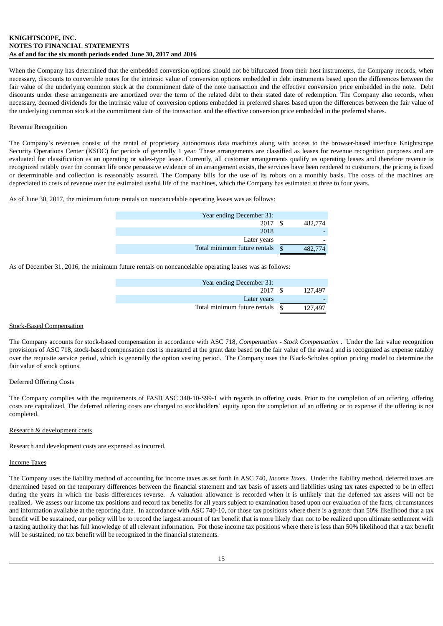# **KNIGHTSCOPE, INC. NOTES TO FINANCIAL STATEMENTS As of and for the six month periods ended June 30, 2017 and 2016**

When the Company has determined that the embedded conversion options should not be bifurcated from their host instruments, the Company records, when necessary, discounts to convertible notes for the intrinsic value of conversion options embedded in debt instruments based upon the differences between the fair value of the underlying common stock at the commitment date of the note transaction and the effective conversion price embedded in the note. Debt discounts under these arrangements are amortized over the term of the related debt to their stated date of redemption. The Company also records, when necessary, deemed dividends for the intrinsic value of conversion options embedded in preferred shares based upon the differences between the fair value of the underlying common stock at the commitment date of the transaction and the effective conversion price embedded in the preferred shares.

## Revenue Recognition

The Company's revenues consist of the rental of proprietary autonomous data machines along with access to the browser-based interface Knightscope Security Operations Center (KSOC) for periods of generally 1 year. These arrangements are classified as leases for revenue recognition purposes and are evaluated for classification as an operating or sales-type lease. Currently, all customer arrangements qualify as operating leases and therefore revenue is recognized ratably over the contract life once persuasive evidence of an arrangement exists, the services have been rendered to customers, the pricing is fixed or determinable and collection is reasonably assured. The Company bills for the use of its robots on a monthly basis. The costs of the machines are depreciated to costs of revenue over the estimated useful life of the machines, which the Company has estimated at three to four years.

As of June 30, 2017, the minimum future rentals on noncancelable operating leases was as follows:

| Year ending December 31:     |              |         |
|------------------------------|--------------|---------|
| 2017                         |              | 482,774 |
| 2018                         |              |         |
| Later years                  |              |         |
| Total minimum future rentals | $\mathbf{S}$ | 482,774 |

As of December 31, 2016, the minimum future rentals on noncancelable operating leases was as follows:

| Year ending December 31:     |               |         |
|------------------------------|---------------|---------|
| 2017                         | - \$          | 127,497 |
| Later years                  |               |         |
| Total minimum future rentals | $\mathcal{S}$ | 127,497 |

#### Stock-Based Compensation

The Company accounts for stock-based compensation in accordance with ASC 718, *Compensation - Stock Compensation* . Under the fair value recognition provisions of ASC 718, stock-based compensation cost is measured at the grant date based on the fair value of the award and is recognized as expense ratably over the requisite service period, which is generally the option vesting period. The Company uses the Black-Scholes option pricing model to determine the fair value of stock options.

# Deferred Offering Costs

The Company complies with the requirements of FASB ASC 340-10-S99-1 with regards to offering costs. Prior to the completion of an offering, offering costs are capitalized. The deferred offering costs are charged to stockholders' equity upon the completion of an offering or to expense if the offering is not completed.

#### Research & development costs

Research and development costs are expensed as incurred.

#### Income Taxes

The Company uses the liability method of accounting for income taxes as set forth in ASC 740, *Income Taxes*. Under the liability method, deferred taxes are determined based on the temporary differences between the financial statement and tax basis of assets and liabilities using tax rates expected to be in effect during the years in which the basis differences reverse. A valuation allowance is recorded when it is unlikely that the deferred tax assets will not be realized. We assess our income tax positions and record tax benefits for all years subject to examination based upon our evaluation of the facts, circumstances and information available at the reporting date. In accordance with ASC 740-10, for those tax positions where there is a greater than 50% likelihood that a tax benefit will be sustained, our policy will be to record the largest amount of tax benefit that is more likely than not to be realized upon ultimate settlement with a taxing authority that has full knowledge of all relevant information. For those income tax positions where there is less than 50% likelihood that a tax benefit will be sustained, no tax benefit will be recognized in the financial statements.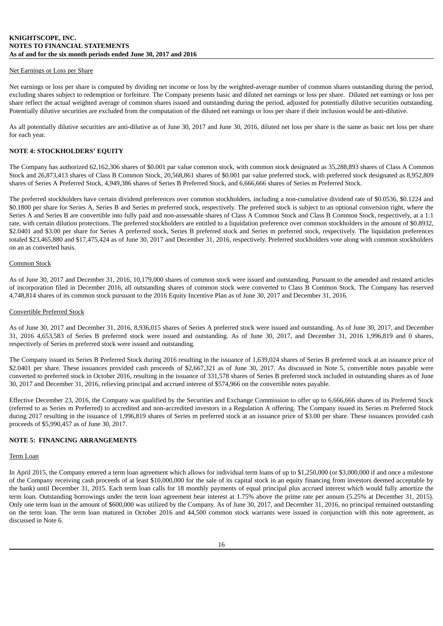#### Net Earnings or Loss per Share

Net earnings or loss per share is computed by dividing net income or loss by the weighted-average number of common shares outstanding during the period, excluding shares subject to redemption or forfeiture. The Company presents basic and diluted net earnings or loss per share. Diluted net earnings or loss per share reflect the actual weighted average of common shares issued and outstanding during the period, adjusted for potentially dilutive securities outstanding. Potentially dilutive securities are excluded from the computation of the diluted net earnings or loss per share if their inclusion would be anti-dilutive.

As all potentially dilutive securities are anti-dilutive as of June 30, 2017 and June 30, 2016, diluted net loss per share is the same as basic net loss per share for each year.

# **NOTE 4: STOCKHOLDERS' EQUITY**

The Company has authorized 62,162,306 shares of \$0.001 par value common stock, with common stock designated as 35,288,893 shares of Class A Common Stock and 26,873,413 shares of Class B Common Stock, 20,568,861 shares of \$0.001 par value preferred stock, with preferred stock designated as 8,952,809 shares of Series A Preferred Stock, 4,949,386 shares of Series B Preferred Stock, and 6,666,666 shares of Series m Preferred Stock.

The preferred stockholders have certain dividend preferences over common stockholders, including a non-cumulative dividend rate of \$0.0536, \$0.1224 and \$0.1800 per share for Series A, Series B and Series m preferred stock, respectively. The preferred stock is subject to an optional conversion right, where the Series A and Series B are convertible into fully paid and non-assessable shares of Class A Common Stock and Class B Common Stock, respectively, at a 1:1 rate, with certain dilution protections. The preferred stockholders are entitled to a liquidation preference over common stockholders in the amount of \$0.8932, \$2.0401 and \$3.00 per share for Series A preferred stock, Series B preferred stock and Series m preferred stock, respectively. The liquidation preferences totaled \$23,465,880 and \$17,475,424 as of June 30, 2017 and December 31, 2016, respectively. Preferred stockholders vote along with common stockholders on an as converted basis.

#### Common Stock

As of June 30, 2017 and December 31, 2016, 10,179,000 shares of common stock were issued and outstanding. Pursuant to the amended and restated articles of incorporation filed in December 2016, all outstanding shares of common stock were converted to Class B Common Stock. The Company has reserved 4,748,814 shares of its common stock pursuant to the 2016 Equity Incentive Plan as of June 30, 2017 and December 31, 2016.

### Convertible Preferred Stock

As of June 30, 2017 and December 31, 2016, 8,936,015 shares of Series A preferred stock were issued and outstanding. As of June 30, 2017, and December 31, 2016 4,653,583 of Series B preferred stock were issued and outstanding. As of June 30, 2017, and December 31, 2016 1,996,819 and 0 shares, respectively of Series m preferred stock were issued and outstanding.

The Company issued its Series B Preferred Stock during 2016 resulting in the issuance of 1,639,024 shares of Series B preferred stock at an issuance price of \$2.0401 per share. These issuances provided cash proceeds of \$2,667,321 as of June 30, 2017. As discussed in Note 5, convertible notes payable were converted to preferred stock in October 2016, resulting in the issuance of 331,578 shares of Series B preferred stock included in outstanding shares as of June 30, 2017 and December 31, 2016, relieving principal and accrued interest of \$574,966 on the convertible notes payable.

Effective December 23, 2016, the Company was qualified by the Securities and Exchange Commission to offer up to 6,666,666 shares of its Preferred Stock (referred to as Series m Preferred) to accredited and non-accredited investors in a Regulation A offering. The Company issued its Series m Preferred Stock during 2017 resulting in the issuance of 1,996,819 shares of Series m preferred stock at an issuance price of \$3.00 per share. These issuances provided cash proceeds of \$5,990,457 as of June 30, 2017.

### **NOTE 5: FINANCING ARRANGEMENTS**

#### Term Loan

In April 2015, the Company entered a term loan agreement which allows for individual term loans of up to \$1,250,000 (or \$3,000,000 if and once a milestone of the Company receiving cash proceeds of at least \$10,000,000 for the sale of its capital stock in an equity financing from investors deemed acceptable by the bank) until December 31, 2015. Each term loan calls for 18 monthly payments of equal principal plus accrued interest which would fully amortize the term loan. Outstanding borrowings under the term loan agreement bear interest at 1.75% above the prime rate per annum (5.25% at December 31, 2015). Only one term loan in the amount of \$600,000 was utilized by the Company. As of June 30, 2017, and December 31, 2016, no principal remained outstanding on the term loan. The term loan matured in October 2016 and 44,500 common stock warrants were issued in conjunction with this note agreement, as discussed in Note 6.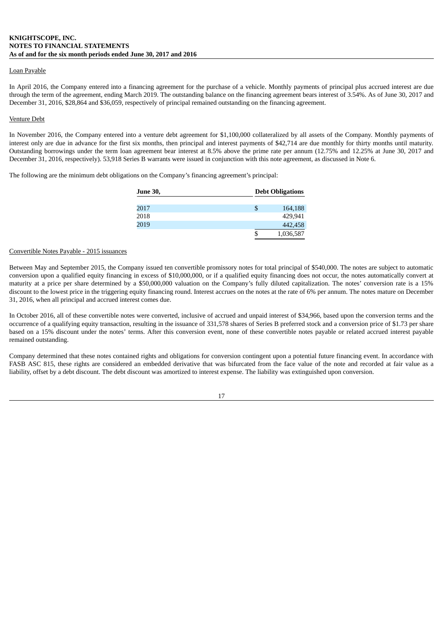## Loan Payable

In April 2016, the Company entered into a financing agreement for the purchase of a vehicle. Monthly payments of principal plus accrued interest are due through the term of the agreement, ending March 2019. The outstanding balance on the financing agreement bears interest of 3.54%. As of June 30, 2017 and December 31, 2016, \$28,864 and \$36,059, respectively of principal remained outstanding on the financing agreement.

### Venture Debt

In November 2016, the Company entered into a venture debt agreement for \$1,100,000 collateralized by all assets of the Company. Monthly payments of interest only are due in advance for the first six months, then principal and interest payments of \$42,714 are due monthly for thirty months until maturity. Outstanding borrowings under the term loan agreement bear interest at 8.5% above the prime rate per annum (12.75% and 12.25% at June 30, 2017 and December 31, 2016, respectively). 53,918 Series B warrants were issued in conjunction with this note agreement, as discussed in Note 6.

The following are the minimum debt obligations on the Company's financing agreement's principal:

| <b>June 30,</b> | <b>Debt Obligations</b> |  |
|-----------------|-------------------------|--|
|                 |                         |  |
| 2017            | 164,188                 |  |
| 2018            | 429.941                 |  |
| 2019            | 442,458                 |  |
|                 | 1,036,587               |  |

#### Convertible Notes Payable - 2015 issuances

Between May and September 2015, the Company issued ten convertible promissory notes for total principal of \$540,000. The notes are subject to automatic conversion upon a qualified equity financing in excess of \$10,000,000, or if a qualified equity financing does not occur, the notes automatically convert at maturity at a price per share determined by a \$50,000,000 valuation on the Company's fully diluted capitalization. The notes' conversion rate is a 15% discount to the lowest price in the triggering equity financing round. Interest accrues on the notes at the rate of 6% per annum. The notes mature on December 31, 2016, when all principal and accrued interest comes due.

In October 2016, all of these convertible notes were converted, inclusive of accrued and unpaid interest of \$34,966, based upon the conversion terms and the occurrence of a qualifying equity transaction, resulting in the issuance of 331,578 shares of Series B preferred stock and a conversion price of \$1.73 per share based on a 15% discount under the notes' terms. After this conversion event, none of these convertible notes payable or related accrued interest payable remained outstanding.

Company determined that these notes contained rights and obligations for conversion contingent upon a potential future financing event. In accordance with FASB ASC 815, these rights are considered an embedded derivative that was bifurcated from the face value of the note and recorded at fair value as a liability, offset by a debt discount. The debt discount was amortized to interest expense. The liability was extinguished upon conversion.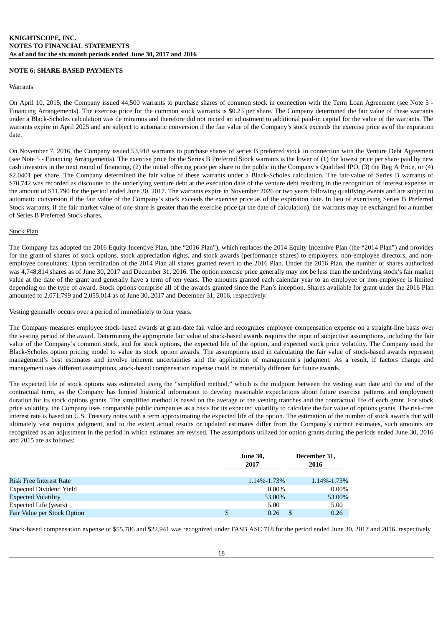# **NOTE 6: SHARE-BASED PAYMENTS**

#### **Warrants**

On April 10, 2015, the Company issued 44,500 warrants to purchase shares of common stock in connection with the Term Loan Agreement (see Note 5 - Financing Arrangements). The exercise price for the common stock warrants is \$0.25 per share. The Company determined the fair value of these warrants under a Black-Scholes calculation was de minimus and therefore did not record an adjustment to additional paid-in capital for the value of the warrants. The warrants expire in April 2025 and are subject to automatic conversion if the fair value of the Company's stock exceeds the exercise price as of the expiration date.

On November 7, 2016, the Company issued 53,918 warrants to purchase shares of series B preferred stock in connection with the Venture Debt Agreement (see Note 5 - Financing Arrangements). The exercise price for the Series B Preferred Stock warrants is the lower of (1) the lowest price per share paid by new cash investors in the next round of financing, (2) the initial offering price per share to the public in the Company's Qualified IPO, (3) the Reg A Price, or (4) \$2.0401 per share. The Company determined the fair value of these warrants under a Black-Scholes calculation. The fair-value of Series B warrants of \$70,742 was recorded as discounts to the underlying venture debt at the execution date of the venture debt resulting in the recognition of interest expense in the amount of \$11,790 for the period ended June 30, 2017. The warrants expire in November 2026 or two years following qualifying events and are subject to automatic conversion if the fair value of the Company's stock exceeds the exercise price as of the expiration date. In lieu of exercising Series B Preferred Stock warrants, if the fair market value of one share is greater than the exercise price (at the date of calculation), the warrants may be exchanged for a number of Series B Preferred Stock shares.

# Stock Plan

The Company has adopted the 2016 Equity Incentive Plan, (the "2016 Plan"), which replaces the 2014 Equity Incentive Plan (the "2014 Plan") and provides for the grant of shares of stock options, stock appreciation rights, and stock awards (performance shares) to employees, non-employee directors, and nonemployee consultants. Upon termination of the 2014 Plan all shares granted revert to the 2016 Plan. Under the 2016 Plan, the number of shares authorized was 4,748,814 shares as of June 30, 2017 and December 31, 2016. The option exercise price generally may not be less than the underlying stock's fair market value at the date of the grant and generally have a term of ten years. The amounts granted each calendar year to an employee or non-employee is limited depending on the type of award. Stock options comprise all of the awards granted since the Plan's inception. Shares available for grant under the 2016 Plan amounted to 2,071,799 and 2,055,014 as of June 30, 2017 and December 31, 2016, respectively.

Vesting generally occurs over a period of immediately to four years.

The Company measures employee stock-based awards at grant-date fair value and recognizes employee compensation expense on a straight-line basis over the vesting period of the award. Determining the appropriate fair value of stock-based awards requires the input of subjective assumptions, including the fair value of the Company's common stock, and for stock options, the expected life of the option, and expected stock price volatility. The Company used the Black-Scholes option pricing model to value its stock option awards. The assumptions used in calculating the fair value of stock-based awards represent management's best estimates and involve inherent uncertainties and the application of management's judgment. As a result, if factors change and management uses different assumptions, stock-based compensation expense could be materially different for future awards.

The expected life of stock options was estimated using the "simplified method," which is the midpoint between the vesting start date and the end of the contractual term, as the Company has limited historical information to develop reasonable expectations about future exercise patterns and employment duration for its stock options grants. The simplified method is based on the average of the vesting tranches and the contractual life of each grant. For stock price volatility, the Company uses comparable public companies as a basis for its expected volatility to calculate the fair value of options grants. The risk-free interest rate is based on U.S. Treasury notes with a term approximating the expected life of the option. The estimation of the number of stock awards that will ultimately vest requires judgment, and to the extent actual results or updated estimates differ from the Company's current estimates, such amounts are recognized as an adjustment in the period in which estimates are revised. The assumptions utilized for option grants during the periods ended June 30, 2016 and 2015 are as follows:

|                                | <b>June 30,</b><br>2017 | December 31,<br>2016 |
|--------------------------------|-------------------------|----------------------|
| <b>Risk Free Interest Rate</b> | 1.14%-1.73%             | 1.14%-1.73%          |
| <b>Expected Dividend Yield</b> | $0.00\%$                | $0.00\%$             |
| <b>Expected Volatility</b>     | 53.00%                  | 53.00%               |
| Expected Life (years)          | 5.00                    | 5.00                 |
| Fair Value per Stock Option    | 0.26                    | 0.26                 |

Stock-based compensation expense of \$55,786 and \$22,941 was recognized under FASB ASC 718 for the period ended June 30, 2017 and 2016, respectively.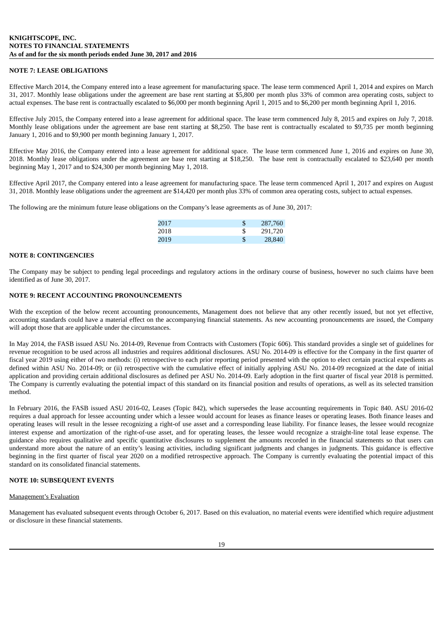## **NOTE 7: LEASE OBLIGATIONS**

Effective March 2014, the Company entered into a lease agreement for manufacturing space. The lease term commenced April 1, 2014 and expires on March 31, 2017. Monthly lease obligations under the agreement are base rent starting at \$5,800 per month plus 33% of common area operating costs, subject to actual expenses. The base rent is contractually escalated to \$6,000 per month beginning April 1, 2015 and to \$6,200 per month beginning April 1, 2016.

Effective July 2015, the Company entered into a lease agreement for additional space. The lease term commenced July 8, 2015 and expires on July 7, 2018. Monthly lease obligations under the agreement are base rent starting at \$8,250. The base rent is contractually escalated to \$9,735 per month beginning January 1, 2016 and to \$9,900 per month beginning January 1, 2017.

Effective May 2016, the Company entered into a lease agreement for additional space. The lease term commenced June 1, 2016 and expires on June 30, 2018. Monthly lease obligations under the agreement are base rent starting at \$18,250. The base rent is contractually escalated to \$23,640 per month beginning May 1, 2017 and to \$24,300 per month beginning May 1, 2018.

Effective April 2017, the Company entered into a lease agreement for manufacturing space. The lease term commenced April 1, 2017 and expires on August 31, 2018. Monthly lease obligations under the agreement are \$14,420 per month plus 33% of common area operating costs, subject to actual expenses.

The following are the minimum future lease obligations on the Company's lease agreements as of June 30, 2017:

| 2017 | 287,760 |
|------|---------|
| 2018 | 291.720 |
| 2019 | 28,840  |

#### **NOTE 8: CONTINGENCIES**

The Company may be subject to pending legal proceedings and regulatory actions in the ordinary course of business, however no such claims have been identified as of June 30, 2017.

#### **NOTE 9: RECENT ACCOUNTING PRONOUNCEMENTS**

With the exception of the below recent accounting pronouncements, Management does not believe that any other recently issued, but not yet effective, accounting standards could have a material effect on the accompanying financial statements. As new accounting pronouncements are issued, the Company will adopt those that are applicable under the circumstances.

In May 2014, the FASB issued ASU No. 2014-09, Revenue from Contracts with Customers (Topic 606). This standard provides a single set of guidelines for revenue recognition to be used across all industries and requires additional disclosures. ASU No. 2014-09 is effective for the Company in the first quarter of fiscal year 2019 using either of two methods: (i) retrospective to each prior reporting period presented with the option to elect certain practical expedients as defined within ASU No. 2014-09; or (ii) retrospective with the cumulative effect of initially applying ASU No. 2014-09 recognized at the date of initial application and providing certain additional disclosures as defined per ASU No. 2014-09. Early adoption in the first quarter of fiscal year 2018 is permitted. The Company is currently evaluating the potential impact of this standard on its financial position and results of operations, as well as its selected transition method.

In February 2016, the FASB issued ASU 2016-02, Leases (Topic 842), which supersedes the lease accounting requirements in Topic 840. ASU 2016-02 requires a dual approach for lessee accounting under which a lessee would account for leases as finance leases or operating leases. Both finance leases and operating leases will result in the lessee recognizing a right-of use asset and a corresponding lease liability. For finance leases, the lessee would recognize interest expense and amortization of the right-of-use asset, and for operating leases, the lessee would recognize a straight-line total lease expense. The guidance also requires qualitative and specific quantitative disclosures to supplement the amounts recorded in the financial statements so that users can understand more about the nature of an entity's leasing activities, including significant judgments and changes in judgments. This guidance is effective beginning in the first quarter of fiscal year 2020 on a modified retrospective approach. The Company is currently evaluating the potential impact of this standard on its consolidated financial statements.

# **NOTE 10: SUBSEQUENT EVENTS**

#### Management's Evaluation

Management has evaluated subsequent events through October 6, 2017. Based on this evaluation, no material events were identified which require adjustment or disclosure in these financial statements.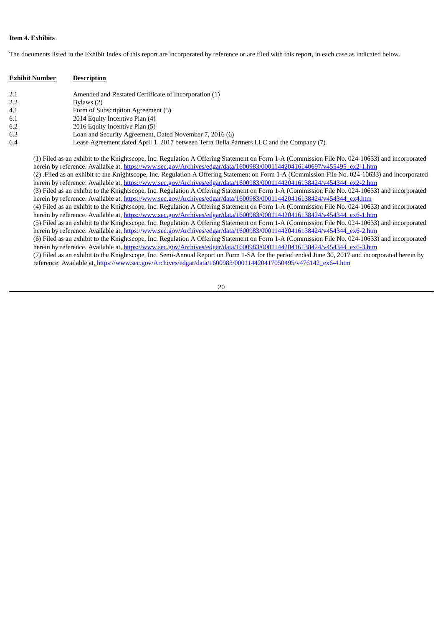# **Item 4. Exhibits**

The documents listed in the Exhibit Index of this report are incorporated by reference or are filed with this report, in each case as indicated below.

| <b>Exhibit Number</b> | <b>Description</b>                                                                       |
|-----------------------|------------------------------------------------------------------------------------------|
| 2.1                   | Amended and Restated Certificate of Incorporation (1)                                    |
| 2.2                   | Bylaws (2)                                                                               |
| 4.1                   | Form of Subscription Agreement (3)                                                       |
| 6.1                   | 2014 Equity Incentive Plan (4)                                                           |
| 6.2                   | 2016 Equity Incentive Plan (5)                                                           |
| 6.3                   | Loan and Security Agreement, Dated November 7, 2016 (6)                                  |
| 6.4                   | Lease Agreement dated April 1, 2017 between Terra Bella Partners LLC and the Company (7) |

(1) Filed as an exhibit to the Knightscope, Inc. Regulation A Offering Statement on Form 1-A (Commission File No. 024-10633) and incorporated herein by reference. Available at, [https://www.sec.gov/Archives/edgar/data/1600983/000114420416140697/v455495\\_ex2-1.htm](http://www.sec.gov/Archives/edgar/data/1600983/000114420416140697/v455495_ex2-1.htm) (2) .Filed as an exhibit to the Knightscope, Inc. Regulation A Offering Statement on Form 1-A (Commission File No. 024-10633) and incorporated herein by reference. Available at, [https://www.sec.gov/Archives/edgar/data/1600983/000114420416138424/v454344\\_ex2-2.htm](http://www.sec.gov/Archives/edgar/data/1600983/000114420416138424/v454344_ex2-2.htm) (3) Filed as an exhibit to the Knightscope, Inc. Regulation A Offering Statement on Form 1-A (Commission File No. 024-10633) and incorporated herein by reference. Available at, [https://www.sec.gov/Archives/edgar/data/1600983/000114420416138424/v454344\\_ex4.htm](http://www.sec.gov/Archives/edgar/data/1600983/000114420416138424/v454344_ex4.htm) (4) Filed as an exhibit to the Knightscope, Inc. Regulation A Offering Statement on Form 1-A (Commission File No. 024-10633) and incorporated herein by reference. Available at, [https://www.sec.gov/Archives/edgar/data/1600983/000114420416138424/v454344\\_ex6-1.htm](http://www.sec.gov/Archives/edgar/data/1600983/000114420416138424/v454344_ex6-1.htm) (5) Filed as an exhibit to the Knightscope, Inc. Regulation A Offering Statement on Form 1-A (Commission File No. 024-10633) and incorporated herein by reference. Available at, [https://www.sec.gov/Archives/edgar/data/1600983/000114420416138424/v454344\\_ex6-2.htm](http://www.sec.gov/Archives/edgar/data/1600983/000114420416138424/v454344_ex6-2.htm) (6) Filed as an exhibit to the Knightscope, Inc. Regulation A Offering Statement on Form 1-A (Commission File No. 024-10633) and incorporated herein by reference. Available at, [https://www.sec.gov/Archives/edgar/data/1600983/000114420416138424/v454344\\_ex6-3.htm](http://www.sec.gov/Archives/edgar/data/1600983/000114420416138424/v454344_ex6-3.htm) (7) Filed as an exhibit to the Knightscope, Inc. Semi-Annual Report on Form 1-SA for the period ended June 30, 2017 and incorporated herein by reference. Available at, [https://www.sec.gov/Archives/edgar/data/1600983/000114420417050495/v476142\\_ex6-4.htm](http://www.sec.gov/Archives/edgar/data/1600983/000114420417050495/v476142_ex6-4.htm)